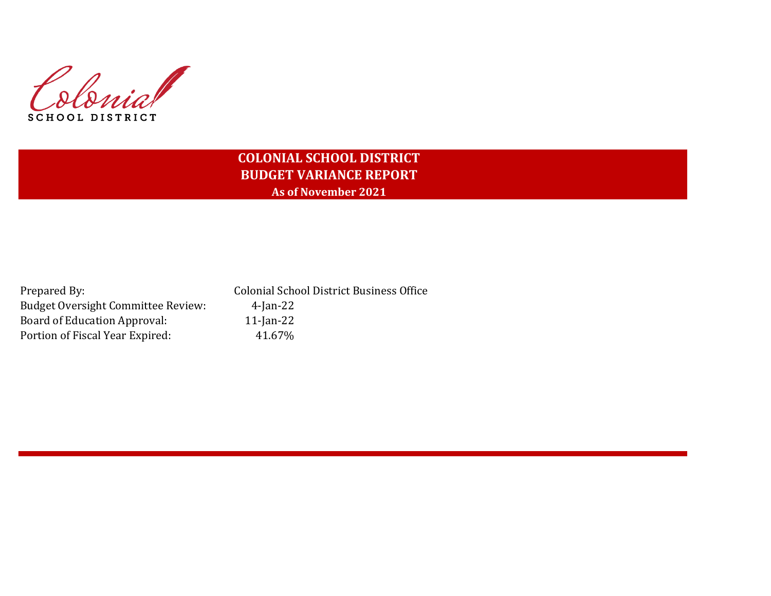Colonial SCHOOL DISTRICT

# **COLONIAL SCHOOL DISTRICT BUDGET VARIANCE REPORT As of November 2021**

| Prepared By:                              | <b>Colonial School District Business Office</b> |
|-------------------------------------------|-------------------------------------------------|
| <b>Budget Oversight Committee Review:</b> | 4-Jan-22                                        |
| Board of Education Approval:              | $11$ -Jan-22                                    |
| Portion of Fiscal Year Expired:           | 41.67%                                          |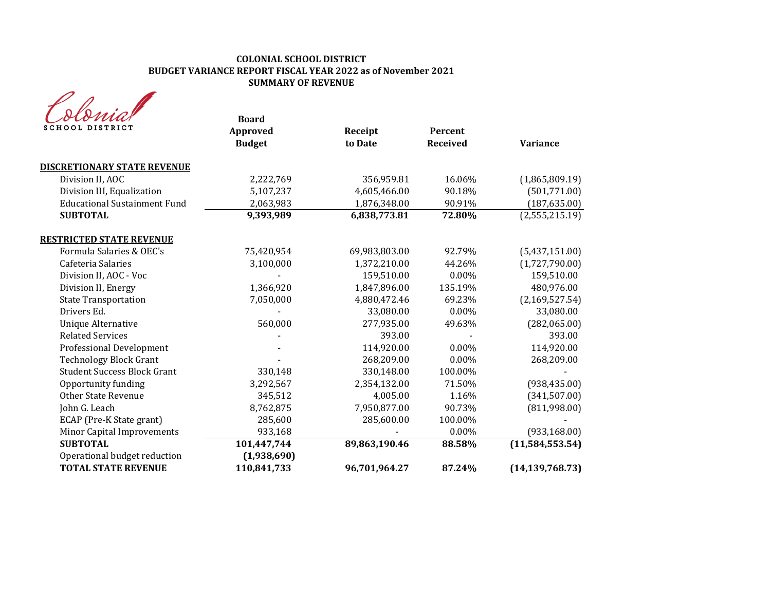# **COLONIAL SCHOOL DISTRICT BUDGET VARIANCE REPORT FISCAL YEAR 2022 as of November 2021 SUMMARY OF REVENUE**

| <b>SCHOOL DISTRICT</b>                                     | <b>Board</b><br>Approved<br><b>Budget</b> | Receipt<br>to Date | Percent<br><b>Received</b> | <b>Variance</b>   |
|------------------------------------------------------------|-------------------------------------------|--------------------|----------------------------|-------------------|
| <b>DISCRETIONARY STATE REVENUE</b>                         |                                           |                    |                            |                   |
| Division II, AOC                                           | 2,222,769                                 | 356,959.81         | 16.06%                     | (1,865,809.19)    |
| Division III, Equalization                                 | 5,107,237                                 | 4,605,466.00       | 90.18%                     | (501,771.00)      |
| <b>Educational Sustainment Fund</b>                        | 2,063,983                                 | 1,876,348.00       | 90.91%                     | (187, 635.00)     |
| <b>SUBTOTAL</b>                                            | 9,393,989                                 | 6,838,773.81       | 72.80%                     | (2,555,215.19)    |
| <b>RESTRICTED STATE REVENUE</b>                            |                                           |                    |                            |                   |
| Formula Salaries & OEC's                                   | 75,420,954                                | 69,983,803.00      | 92.79%                     | (5,437,151.00)    |
| Cafeteria Salaries                                         | 3,100,000                                 | 1,372,210.00       | 44.26%                     | (1,727,790.00)    |
| Division II, AOC - Voc                                     |                                           | 159,510.00         | 0.00%                      | 159,510.00        |
| Division II, Energy                                        | 1,366,920                                 | 1,847,896.00       | 135.19%                    | 480,976.00        |
| <b>State Transportation</b>                                | 7,050,000                                 | 4,880,472.46       | 69.23%                     | (2,169,527.54)    |
| Drivers Ed.                                                |                                           | 33,080.00          | 0.00%                      | 33,080.00         |
| Unique Alternative                                         | 560,000                                   | 277,935.00         | 49.63%                     | (282,065.00)      |
| <b>Related Services</b>                                    |                                           | 393.00             |                            | 393.00            |
| <b>Professional Development</b>                            |                                           | 114,920.00         | $0.00\%$                   | 114,920.00        |
| <b>Technology Block Grant</b>                              |                                           | 268,209.00         | $0.00\%$                   | 268,209.00        |
| <b>Student Success Block Grant</b>                         | 330,148                                   | 330,148.00         | 100.00%                    |                   |
| Opportunity funding                                        | 3,292,567                                 | 2,354,132.00       | 71.50%                     | (938, 435.00)     |
| Other State Revenue                                        | 345,512                                   | 4,005.00           | 1.16%                      | (341, 507.00)     |
| John G. Leach                                              | 8,762,875                                 | 7,950,877.00       | 90.73%                     | (811,998.00)      |
| ECAP (Pre-K State grant)                                   | 285,600                                   | 285,600.00         | 100.00%                    |                   |
| Minor Capital Improvements                                 | 933,168                                   |                    | 0.00%                      | (933, 168.00)     |
| <b>SUBTOTAL</b>                                            | 101,447,744                               | 89,863,190.46      | 88.58%                     | (11, 584, 553.54) |
| Operational budget reduction<br><b>TOTAL STATE REVENUE</b> | (1,938,690)<br>110,841,733                | 96,701,964.27      | 87.24%                     | (14, 139, 768.73) |
|                                                            |                                           |                    |                            |                   |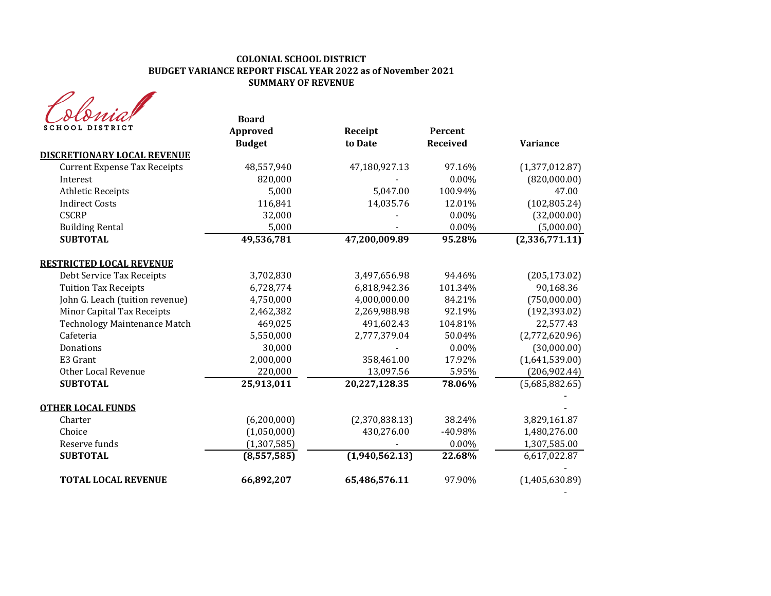# **COLONIAL SCHOOL DISTRICT BUDGET VARIANCE REPORT FISCAL YEAR 2022 as of November 2021 SUMMARY OF REVENUE**

| MA              |
|-----------------|
| SCHOOL DISTRICT |

| otomi<br><b>SCHOOL DISTRICT</b>     | <b>Board</b><br>Approved | Receipt        | Percent         |                             |
|-------------------------------------|--------------------------|----------------|-----------------|-----------------------------|
| <b>DISCRETIONARY LOCAL REVENUE</b>  | <b>Budget</b>            | to Date        | <b>Received</b> | <b>Variance</b>             |
| <b>Current Expense Tax Receipts</b> | 48,557,940               | 47,180,927.13  | 97.16%          | (1,377,012.87)              |
| Interest                            | 820,000                  |                | 0.00%           | (820,000.00)                |
| <b>Athletic Receipts</b>            | 5,000                    | 5,047.00       | 100.94%         | 47.00                       |
| <b>Indirect Costs</b>               | 116,841                  | 14,035.76      | 12.01%          | (102, 805.24)               |
| <b>CSCRP</b>                        | 32,000                   |                | 0.00%           | (32,000.00)                 |
| <b>Building Rental</b>              | 5,000                    |                | 0.00%           | (5,000.00)                  |
| <b>SUBTOTAL</b>                     | 49,536,781               | 47,200,009.89  | 95.28%          | $\overline{(2,336,771.11)}$ |
| <b>RESTRICTED LOCAL REVENUE</b>     |                          |                |                 |                             |
| Debt Service Tax Receipts           | 3,702,830                | 3,497,656.98   | 94.46%          | (205, 173.02)               |
| <b>Tuition Tax Receipts</b>         | 6,728,774                | 6,818,942.36   | 101.34%         | 90,168.36                   |
| John G. Leach (tuition revenue)     | 4,750,000                | 4,000,000.00   | 84.21%          | (750,000.00)                |
| Minor Capital Tax Receipts          | 2,462,382                | 2,269,988.98   | 92.19%          | (192, 393.02)               |
| <b>Technology Maintenance Match</b> | 469,025                  | 491,602.43     | 104.81%         | 22,577.43                   |
| Cafeteria                           | 5,550,000                | 2,777,379.04   | 50.04%          | (2,772,620.96)              |
| Donations                           | 30,000                   |                | 0.00%           | (30,000.00)                 |
| E3 Grant                            | 2,000,000                | 358,461.00     | 17.92%          | (1,641,539.00)              |
| Other Local Revenue                 | 220,000                  | 13,097.56      | 5.95%           | (206, 902.44)               |
| <b>SUBTOTAL</b>                     | 25,913,011               | 20,227,128.35  | 78.06%          | (5,685,882.65)              |
| <b>OTHER LOCAL FUNDS</b>            |                          |                |                 |                             |
| Charter                             | (6, 200, 000)            | (2,370,838.13) | 38.24%          | 3,829,161.87                |
| Choice                              | (1,050,000)              | 430,276.00     | -40.98%         | 1,480,276.00                |
| Reserve funds                       | (1, 307, 585)            |                | $0.00\%$        | 1,307,585.00                |
| <b>SUBTOTAL</b>                     | (8,557,585)              | (1,940,562.13) | 22.68%          | 6,617,022.87                |
| <b>TOTAL LOCAL REVENUE</b>          | 66,892,207               | 65,486,576.11  | 97.90%          | (1,405,630.89)              |
|                                     |                          |                |                 |                             |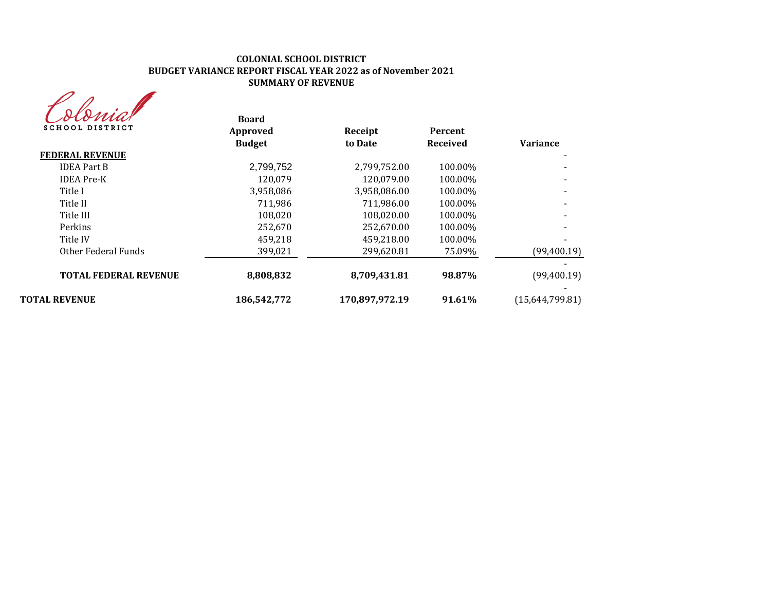# **COLONIAL SCHOOL DISTRICT BUDGET VARIANCE REPORT FISCAL YEAR 2022 as of November 2021 SUMMARY OF REVENUE**

| rna             |
|-----------------|
| SCHOOL DISTRICT |

| sionna<br><b>SCHOOL DISTRICT</b> | <b>Board</b><br>Approved | Receipt        | Percent  |                 |
|----------------------------------|--------------------------|----------------|----------|-----------------|
|                                  | <b>Budget</b>            | to Date        | Received | <b>Variance</b> |
| <b>FEDERAL REVENUE</b>           |                          |                |          |                 |
| <b>IDEA Part B</b>               | 2,799,752                | 2,799,752.00   | 100.00%  |                 |
| <b>IDEA</b> Pre-K                | 120.079                  | 120,079.00     | 100.00%  |                 |
| Title I                          | 3,958,086                | 3,958,086.00   | 100.00%  |                 |
| Title II                         | 711.986                  | 711,986.00     | 100.00%  |                 |
| Title III                        | 108.020                  | 108.020.00     | 100.00%  |                 |
| Perkins                          | 252,670                  | 252.670.00     | 100.00%  |                 |
| Title IV                         | 459,218                  | 459,218.00     | 100.00%  |                 |
| Other Federal Funds              | 399,021                  | 299,620.81     | 75.09%   | (99,400.19)     |
| <b>TOTAL FEDERAL REVENUE</b>     | 8,808,832                | 8,709,431.81   | 98.87%   | (99,400.19)     |
| <b>TOTAL REVENUE</b>             | 186,542,772              | 170,897,972.19 | 91.61%   | (15,644,799.81) |
|                                  |                          |                |          |                 |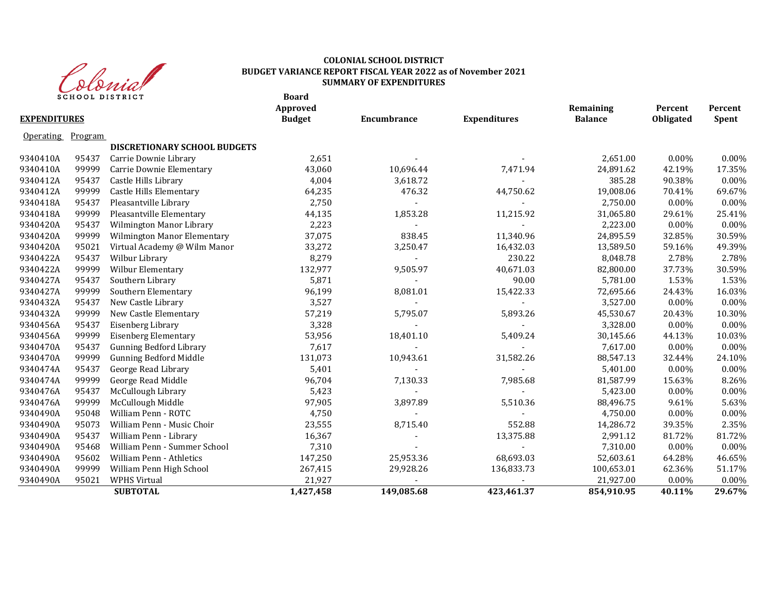

#### **COLONIAL SCHOOL DISTRICT BUDGET VARIANCE REPORT FISCAL YEAR 2022 as of November 2021 SUMMARY OF EXPENDITURES**

|                     | ╯       | $\mathcal{C} \mathcal{C} \mathcal{C} \mathcal{C} \mathcal{C} \mathcal{C} \mathcal{C} \mathcal{C} \mathcal{C} \mathcal{C} \mathcal{C} \mathcal{C} \mathcal{C} \mathcal{C} \mathcal{C} \mathcal{C} \mathcal{C} \mathcal{C} \mathcal{C} \mathcal{C} \mathcal{C} \mathcal{C} \mathcal{C} \mathcal{C} \mathcal{C} \mathcal{C} \mathcal{C} \mathcal{C} \mathcal{C} \mathcal{C} \mathcal{C} \mathcal{C} \mathcal{C} \mathcal{C} \mathcal{C} \mathcal{C} \mathcal{$<br><b>SCHOOL DISTRICT</b> | <b>Board</b><br>Approved |             |                     | Remaining      | Percent   | Percent  |
|---------------------|---------|---------------------------------------------------------------------------------------------------------------------------------------------------------------------------------------------------------------------------------------------------------------------------------------------------------------------------------------------------------------------------------------------------------------------------------------------------------------------------------------|--------------------------|-------------|---------------------|----------------|-----------|----------|
| <b>EXPENDITURES</b> |         |                                                                                                                                                                                                                                                                                                                                                                                                                                                                                       | <b>Budget</b>            | Encumbrance | <b>Expenditures</b> | <b>Balance</b> | Obligated | Spent    |
| <b>Operating</b>    | Program |                                                                                                                                                                                                                                                                                                                                                                                                                                                                                       |                          |             |                     |                |           |          |
|                     |         | DISCRETIONARY SCHOOL BUDGETS                                                                                                                                                                                                                                                                                                                                                                                                                                                          |                          |             |                     |                |           |          |
| 9340410A            | 95437   | Carrie Downie Library                                                                                                                                                                                                                                                                                                                                                                                                                                                                 | 2,651                    |             |                     | 2,651.00       | $0.00\%$  | 0.00%    |
| 9340410A            | 99999   | Carrie Downie Elementary                                                                                                                                                                                                                                                                                                                                                                                                                                                              | 43,060                   | 10,696.44   | 7,471.94            | 24,891.62      | 42.19%    | 17.35%   |
| 9340412A            | 95437   | Castle Hills Library                                                                                                                                                                                                                                                                                                                                                                                                                                                                  | 4,004                    | 3,618.72    |                     | 385.28         | 90.38%    | 0.00%    |
| 9340412A            | 99999   | <b>Castle Hills Elementary</b>                                                                                                                                                                                                                                                                                                                                                                                                                                                        | 64,235                   | 476.32      | 44,750.62           | 19,008.06      | 70.41%    | 69.67%   |
| 9340418A            | 95437   | Pleasantville Library                                                                                                                                                                                                                                                                                                                                                                                                                                                                 | 2,750                    |             |                     | 2,750.00       | 0.00%     | 0.00%    |
| 9340418A            | 99999   | Pleasantville Elementary                                                                                                                                                                                                                                                                                                                                                                                                                                                              | 44,135                   | 1,853.28    | 11,215.92           | 31,065.80      | 29.61%    | 25.41%   |
| 9340420A            | 95437   | Wilmington Manor Library                                                                                                                                                                                                                                                                                                                                                                                                                                                              | 2,223                    |             |                     | 2,223.00       | 0.00%     | $0.00\%$ |
| 9340420A            | 99999   | Wilmington Manor Elementary                                                                                                                                                                                                                                                                                                                                                                                                                                                           | 37,075                   | 838.45      | 11,340.96           | 24,895.59      | 32.85%    | 30.59%   |
| 9340420A            | 95021   | Virtual Academy @ Wilm Manor                                                                                                                                                                                                                                                                                                                                                                                                                                                          | 33,272                   | 3,250.47    | 16,432.03           | 13,589.50      | 59.16%    | 49.39%   |
| 9340422A            | 95437   | Wilbur Library                                                                                                                                                                                                                                                                                                                                                                                                                                                                        | 8,279                    |             | 230.22              | 8,048.78       | 2.78%     | 2.78%    |
| 9340422A            | 99999   | Wilbur Elementary                                                                                                                                                                                                                                                                                                                                                                                                                                                                     | 132,977                  | 9,505.97    | 40,671.03           | 82,800.00      | 37.73%    | 30.59%   |
| 9340427A            | 95437   | Southern Library                                                                                                                                                                                                                                                                                                                                                                                                                                                                      | 5,871                    |             | 90.00               | 5,781.00       | 1.53%     | 1.53%    |
| 9340427A            | 99999   | Southern Elementary                                                                                                                                                                                                                                                                                                                                                                                                                                                                   | 96,199                   | 8,081.01    | 15,422.33           | 72,695.66      | 24.43%    | 16.03%   |
| 9340432A            | 95437   | New Castle Library                                                                                                                                                                                                                                                                                                                                                                                                                                                                    | 3,527                    |             |                     | 3,527.00       | 0.00%     | 0.00%    |
| 9340432A            | 99999   | New Castle Elementary                                                                                                                                                                                                                                                                                                                                                                                                                                                                 | 57,219                   | 5,795.07    | 5,893.26            | 45,530.67      | 20.43%    | 10.30%   |
| 9340456A            | 95437   | Eisenberg Library                                                                                                                                                                                                                                                                                                                                                                                                                                                                     | 3,328                    |             |                     | 3,328.00       | 0.00%     | 0.00%    |
| 9340456A            | 99999   | <b>Eisenberg Elementary</b>                                                                                                                                                                                                                                                                                                                                                                                                                                                           | 53,956                   | 18,401.10   | 5,409.24            | 30,145.66      | 44.13%    | 10.03%   |
| 9340470A            | 95437   | <b>Gunning Bedford Library</b>                                                                                                                                                                                                                                                                                                                                                                                                                                                        | 7,617                    |             |                     | 7,617.00       | 0.00%     | 0.00%    |
| 9340470A            | 99999   | <b>Gunning Bedford Middle</b>                                                                                                                                                                                                                                                                                                                                                                                                                                                         | 131,073                  | 10,943.61   | 31,582.26           | 88,547.13      | 32.44%    | 24.10%   |
| 9340474A            | 95437   | George Read Library                                                                                                                                                                                                                                                                                                                                                                                                                                                                   | 5,401                    |             |                     | 5,401.00       | 0.00%     | 0.00%    |
| 9340474A            | 99999   | George Read Middle                                                                                                                                                                                                                                                                                                                                                                                                                                                                    | 96,704                   | 7,130.33    | 7,985.68            | 81,587.99      | 15.63%    | 8.26%    |
| 9340476A            | 95437   | McCullough Library                                                                                                                                                                                                                                                                                                                                                                                                                                                                    | 5,423                    |             |                     | 5,423.00       | 0.00%     | 0.00%    |
| 9340476A            | 99999   | McCullough Middle                                                                                                                                                                                                                                                                                                                                                                                                                                                                     | 97,905                   | 3,897.89    | 5,510.36            | 88,496.75      | 9.61%     | 5.63%    |
| 9340490A            | 95048   | William Penn - ROTC                                                                                                                                                                                                                                                                                                                                                                                                                                                                   | 4,750                    |             |                     | 4,750.00       | 0.00%     | 0.00%    |
| 9340490A            | 95073   | William Penn - Music Choir                                                                                                                                                                                                                                                                                                                                                                                                                                                            | 23,555                   | 8,715.40    | 552.88              | 14,286.72      | 39.35%    | 2.35%    |
| 9340490A            | 95437   | William Penn - Library                                                                                                                                                                                                                                                                                                                                                                                                                                                                | 16,367                   |             | 13,375.88           | 2,991.12       | 81.72%    | 81.72%   |
| 9340490A            | 95468   | William Penn - Summer School                                                                                                                                                                                                                                                                                                                                                                                                                                                          | 7,310                    |             |                     | 7,310.00       | 0.00%     | 0.00%    |
| 9340490A            | 95602   | William Penn - Athletics                                                                                                                                                                                                                                                                                                                                                                                                                                                              | 147,250                  | 25,953.36   | 68,693.03           | 52,603.61      | 64.28%    | 46.65%   |
| 9340490A            | 99999   | William Penn High School                                                                                                                                                                                                                                                                                                                                                                                                                                                              | 267,415                  | 29,928.26   | 136,833.73          | 100,653.01     | 62.36%    | 51.17%   |
| 9340490A            | 95021   | <b>WPHS Virtual</b>                                                                                                                                                                                                                                                                                                                                                                                                                                                                   | 21,927                   |             |                     | 21,927.00      | 0.00%     | 0.00%    |
|                     |         | <b>SUBTOTAL</b>                                                                                                                                                                                                                                                                                                                                                                                                                                                                       | 1,427,458                | 149,085.68  | 423,461.37          | 854,910.95     | 40.11%    | 29.67%   |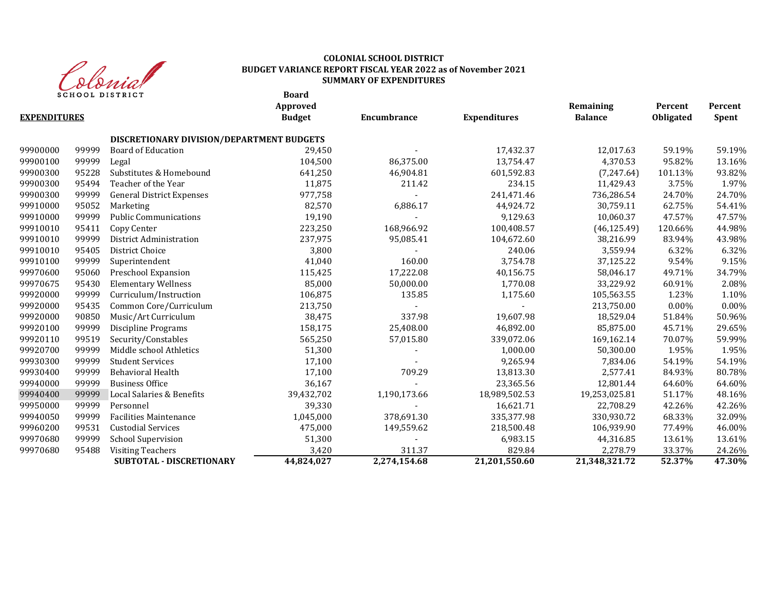

# **COLONIAL SCHOOL DISTRICT BUDGET VARIANCE REPORT FISCAL YEAR 2022 as of November 2021 SUMMARY OF EXPENDITURES**

**Board**

|                     |       |                                           | Approved      |              |                     | Remaining      | Percent   | Percent      |
|---------------------|-------|-------------------------------------------|---------------|--------------|---------------------|----------------|-----------|--------------|
| <b>EXPENDITURES</b> |       |                                           | <b>Budget</b> | Encumbrance  | <b>Expenditures</b> | <b>Balance</b> | Obligated | <b>Spent</b> |
|                     |       | DISCRETIONARY DIVISION/DEPARTMENT BUDGETS |               |              |                     |                |           |              |
| 99900000            | 99999 | <b>Board of Education</b>                 | 29.450        |              | 17,432.37           | 12,017.63      | 59.19%    | 59.19%       |
| 99900100            | 99999 | Legal                                     | 104,500       | 86,375.00    | 13,754.47           | 4,370.53       | 95.82%    | 13.16%       |
| 99900300            | 95228 | Substitutes & Homebound                   | 641,250       | 46,904.81    | 601,592.83          | (7,247.64)     | 101.13%   | 93.82%       |
| 99900300            | 95494 | Teacher of the Year                       | 11,875        | 211.42       | 234.15              | 11,429.43      | 3.75%     | 1.97%        |
| 99900300            | 99999 | <b>General District Expenses</b>          | 977,758       |              | 241,471.46          | 736,286.54     | 24.70%    | 24.70%       |
| 99910000            | 95052 | Marketing                                 | 82,570        | 6,886.17     | 44,924.72           | 30,759.11      | 62.75%    | 54.41%       |
| 99910000            | 99999 | <b>Public Communications</b>              | 19,190        |              | 9,129.63            | 10,060.37      | 47.57%    | 47.57%       |
| 99910010            | 95411 | Copy Center                               | 223,250       | 168,966.92   | 100,408.57          | (46, 125.49)   | 120.66%   | 44.98%       |
| 99910010            | 99999 | District Administration                   | 237,975       | 95,085.41    | 104,672.60          | 38,216.99      | 83.94%    | 43.98%       |
| 99910010            | 95405 | District Choice                           | 3,800         |              | 240.06              | 3,559.94       | 6.32%     | 6.32%        |
| 99910100            | 99999 | Superintendent                            | 41,040        | 160.00       | 3,754.78            | 37,125.22      | 9.54%     | 9.15%        |
| 99970600            | 95060 | Preschool Expansion                       | 115,425       | 17,222.08    | 40,156.75           | 58,046.17      | 49.71%    | 34.79%       |
| 99970675            | 95430 | <b>Elementary Wellness</b>                | 85,000        | 50,000.00    | 1,770.08            | 33,229.92      | 60.91%    | 2.08%        |
| 99920000            | 99999 | Curriculum/Instruction                    | 106,875       | 135.85       | 1,175.60            | 105,563.55     | 1.23%     | 1.10%        |
| 99920000            | 95435 | Common Core/Curriculum                    | 213,750       |              |                     | 213,750.00     | $0.00\%$  | $0.00\%$     |
| 99920000            | 90850 | Music/Art Curriculum                      | 38,475        | 337.98       | 19,607.98           | 18,529.04      | 51.84%    | 50.96%       |
| 99920100            | 99999 | <b>Discipline Programs</b>                | 158,175       | 25,408.00    | 46,892.00           | 85,875.00      | 45.71%    | 29.65%       |
| 99920110            | 99519 | Security/Constables                       | 565,250       | 57,015.80    | 339,072.06          | 169,162.14     | 70.07%    | 59.99%       |
| 99920700            | 99999 | Middle school Athletics                   | 51,300        |              | 1,000.00            | 50,300.00      | 1.95%     | 1.95%        |
| 99930300            | 99999 | <b>Student Services</b>                   | 17,100        |              | 9,265.94            | 7,834.06       | 54.19%    | 54.19%       |
| 99930400            | 99999 | Behavioral Health                         | 17,100        | 709.29       | 13,813.30           | 2,577.41       | 84.93%    | 80.78%       |
| 99940000            | 99999 | <b>Business Office</b>                    | 36,167        |              | 23,365.56           | 12,801.44      | 64.60%    | 64.60%       |
| 99940400            | 99999 | Local Salaries & Benefits                 | 39,432,702    | 1,190,173.66 | 18,989,502.53       | 19,253,025.81  | 51.17%    | 48.16%       |
| 99950000            | 99999 | Personnel                                 | 39,330        |              | 16,621.71           | 22,708.29      | 42.26%    | 42.26%       |
| 99940050            | 99999 | <b>Facilities Maintenance</b>             | 1,045,000     | 378,691.30   | 335,377.98          | 330,930.72     | 68.33%    | 32.09%       |
| 99960200            | 99531 | <b>Custodial Services</b>                 | 475,000       | 149,559.62   | 218,500.48          | 106,939.90     | 77.49%    | 46.00%       |
| 99970680            | 99999 | <b>School Supervision</b>                 | 51,300        |              | 6,983.15            | 44,316.85      | 13.61%    | 13.61%       |
| 99970680            | 95488 | <b>Visiting Teachers</b>                  | 3,420         | 311.37       | 829.84              | 2,278.79       | 33.37%    | 24.26%       |
|                     |       | <b>SUBTOTAL - DISCRETIONARY</b>           | 44,824,027    | 2,274,154.68 | 21,201,550.60       | 21,348,321.72  | 52.37%    | 47.30%       |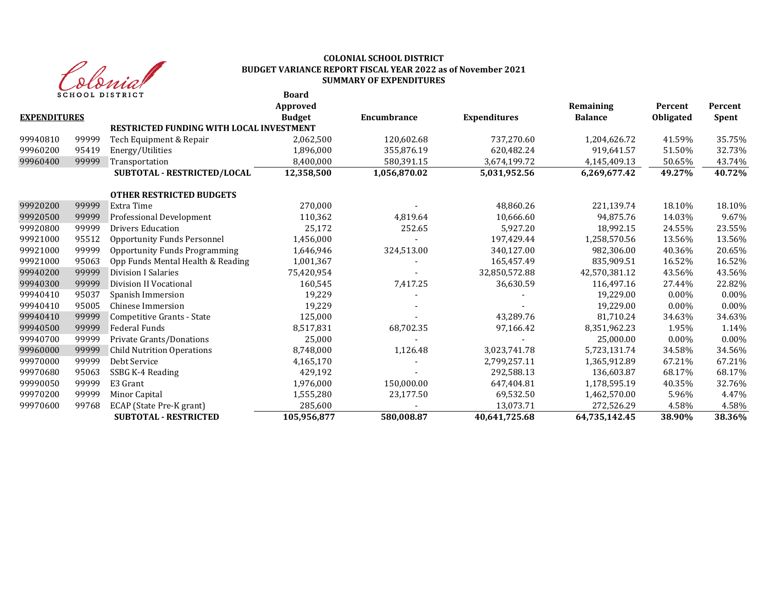

#### **Board COLONIAL SCHOOL DISTRICT BUDGET VARIANCE REPORT FISCAL YEAR 2022 as of November 2021 SUMMARY OF EXPENDITURES**

|                     |       | SCHOOL DISIKICI                                 | boaru<br>Approved |              |                     | Remaining      | Percent          | Percent |
|---------------------|-------|-------------------------------------------------|-------------------|--------------|---------------------|----------------|------------------|---------|
| <b>EXPENDITURES</b> |       |                                                 | <b>Budget</b>     | Encumbrance  | <b>Expenditures</b> | <b>Balance</b> | <b>Obligated</b> | Spent   |
|                     |       | <b>RESTRICTED FUNDING WITH LOCAL INVESTMENT</b> |                   |              |                     |                |                  |         |
| 99940810            | 99999 | Tech Equipment & Repair                         | 2,062,500         | 120,602.68   | 737,270.60          | 1,204,626.72   | 41.59%           | 35.75%  |
| 99960200            | 95419 | Energy/Utilities                                | 1,896,000         | 355,876.19   | 620,482.24          | 919,641.57     | 51.50%           | 32.73%  |
| 99960400            | 99999 | Transportation                                  | 8,400,000         | 580,391.15   | 3,674,199.72        | 4,145,409.13   | 50.65%           | 43.74%  |
|                     |       | SUBTOTAL - RESTRICTED/LOCAL                     | 12,358,500        | 1,056,870.02 | 5,031,952.56        | 6,269,677.42   | 49.27%           | 40.72%  |
|                     |       | <b>OTHER RESTRICTED BUDGETS</b>                 |                   |              |                     |                |                  |         |
| 99920200            | 99999 | Extra Time                                      | 270,000           |              | 48,860.26           | 221,139.74     | 18.10%           | 18.10%  |
| 99920500            | 99999 | Professional Development                        | 110,362           | 4,819.64     | 10,666.60           | 94,875.76      | 14.03%           | 9.67%   |
| 99920800            | 99999 | <b>Drivers Education</b>                        | 25,172            | 252.65       | 5,927.20            | 18,992.15      | 24.55%           | 23.55%  |
| 99921000            | 95512 | <b>Opportunity Funds Personnel</b>              | 1,456,000         |              | 197,429.44          | 1,258,570.56   | 13.56%           | 13.56%  |
| 99921000            | 99999 | <b>Opportunity Funds Programming</b>            | 1,646,946         | 324,513.00   | 340,127.00          | 982,306.00     | 40.36%           | 20.65%  |
| 99921000            | 95063 | Opp Funds Mental Health & Reading               | 1,001,367         |              | 165,457.49          | 835,909.51     | 16.52%           | 16.52%  |
| 99940200            | 99999 | Division I Salaries                             | 75,420,954        |              | 32,850,572.88       | 42,570,381.12  | 43.56%           | 43.56%  |
| 99940300            | 99999 | Division II Vocational                          | 160,545           | 7,417.25     | 36,630.59           | 116,497.16     | 27.44%           | 22.82%  |
| 99940410            | 95037 | Spanish Immersion                               | 19,229            |              |                     | 19,229.00      | $0.00\%$         | 0.00%   |
| 99940410            | 95005 | <b>Chinese Immersion</b>                        | 19,229            |              |                     | 19,229.00      | $0.00\%$         | 0.00%   |
| 99940410            | 99999 | Competitive Grants - State                      | 125,000           |              | 43,289.76           | 81,710.24      | 34.63%           | 34.63%  |
| 99940500            | 99999 | Federal Funds                                   | 8,517,831         | 68,702.35    | 97,166.42           | 8,351,962.23   | 1.95%            | 1.14%   |
| 99940700            | 99999 | Private Grants/Donations                        | 25,000            |              |                     | 25,000.00      | $0.00\%$         | 0.00%   |
| 99960000            | 99999 | <b>Child Nutrition Operations</b>               | 8,748,000         | 1,126.48     | 3,023,741.78        | 5,723,131.74   | 34.58%           | 34.56%  |
| 99970000            | 99999 | Debt Service                                    | 4,165,170         |              | 2,799,257.11        | 1,365,912.89   | 67.21%           | 67.21%  |
| 99970680            | 95063 | SSBG K-4 Reading                                | 429,192           |              | 292,588.13          | 136,603.87     | 68.17%           | 68.17%  |
| 99990050            | 99999 | E3 Grant                                        | 1,976,000         | 150,000.00   | 647,404.81          | 1,178,595.19   | 40.35%           | 32.76%  |
| 99970200            | 99999 | Minor Capital                                   | 1,555,280         | 23,177.50    | 69,532.50           | 1,462,570.00   | 5.96%            | 4.47%   |
| 99970600            | 99768 | ECAP (State Pre-K grant)                        | 285,600           |              | 13,073.71           | 272,526.29     | 4.58%            | 4.58%   |
|                     |       | <b>SUBTOTAL - RESTRICTED</b>                    | 105,956,877       | 580,008.87   | 40,641,725.68       | 64,735,142.45  | 38.90%           | 38.36%  |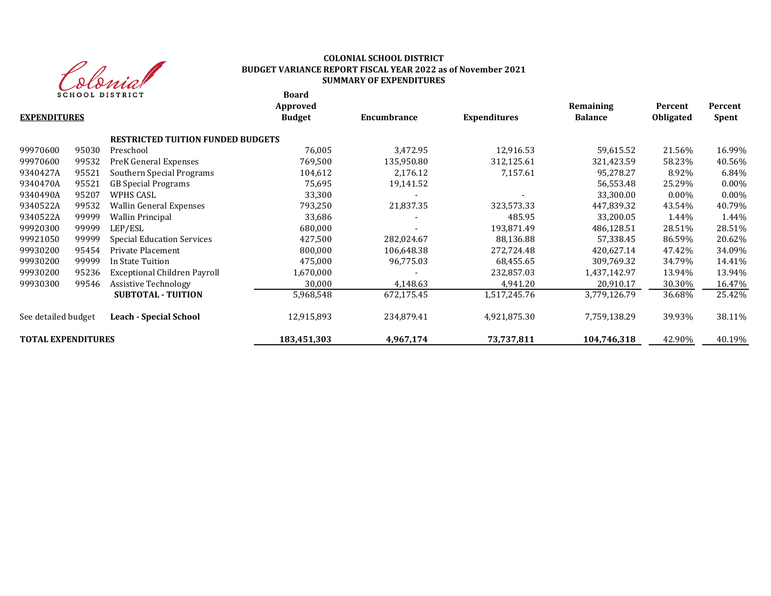

# **COLONIAL SCHOOL DISTRICT BUDGET VARIANCE REPORT FISCAL YEAR 2022 as of November 2021 SUMMARY OF EXPENDITURES**

**Board**

| <b>EXPENDITURES</b>       |       |                                          | Approved<br><b>Budget</b> | Encumbrance | <b>Expenditures</b> | Remaining<br><b>Balance</b> | Percent<br><b>Obligated</b> | Percent<br>Spent |
|---------------------------|-------|------------------------------------------|---------------------------|-------------|---------------------|-----------------------------|-----------------------------|------------------|
|                           |       | <b>RESTRICTED TUITION FUNDED BUDGETS</b> |                           |             |                     |                             |                             |                  |
| 99970600                  | 95030 | Preschool                                | 76,005                    | 3,472.95    | 12,916.53           | 59,615.52                   | 21.56%                      | 16.99%           |
| 99970600                  | 99532 | PreK General Expenses                    | 769,500                   | 135,950.80  | 312,125.61          | 321,423.59                  | 58.23%                      | 40.56%           |
| 9340427A                  | 95521 | Southern Special Programs                | 104,612                   | 2,176.12    | 7,157.61            | 95,278.27                   | 8.92%                       | 6.84%            |
| 9340470A                  | 95521 | <b>GB</b> Special Programs               | 75,695                    | 19,141.52   |                     | 56,553.48                   | 25.29%                      | $0.00\%$         |
| 9340490A                  | 95207 | WPHS CASL                                | 33,300                    |             |                     | 33,300.00                   | $0.00\%$                    | $0.00\%$         |
| 9340522A                  | 99532 | Wallin General Expenses                  | 793,250                   | 21,837.35   | 323,573.33          | 447,839.32                  | 43.54%                      | 40.79%           |
| 9340522A                  | 99999 | <b>Wallin Principal</b>                  | 33,686                    |             | 485.95              | 33,200.05                   | 1.44%                       | 1.44%            |
| 99920300                  | 99999 | LEP/ESL                                  | 680,000                   |             | 193,871.49          | 486,128.51                  | 28.51%                      | 28.51%           |
| 99921050                  | 99999 | <b>Special Education Services</b>        | 427,500                   | 282,024.67  | 88,136.88           | 57,338.45                   | 86.59%                      | 20.62%           |
| 99930200                  | 95454 | Private Placement                        | 800,000                   | 106,648.38  | 272,724.48          | 420,627.14                  | 47.42%                      | 34.09%           |
| 99930200                  | 99999 | In State Tuition                         | 475,000                   | 96,775.03   | 68,455.65           | 309,769.32                  | 34.79%                      | 14.41%           |
| 99930200                  | 95236 | Exceptional Children Payroll             | 1,670,000                 |             | 232,857.03          | 1,437,142.97                | 13.94%                      | 13.94%           |
| 99930300                  | 99546 | <b>Assistive Technology</b>              | 30,000                    | 4,148.63    | 4,941.20            | 20,910.17                   | 30.30%                      | 16.47%           |
|                           |       | <b>SUBTOTAL - TUITION</b>                | 5,968,548                 | 672,175.45  | 1,517,245.76        | 3,779,126.79                | 36.68%                      | 25.42%           |
| See detailed budget       |       | <b>Leach - Special School</b>            | 12,915,893                | 234,879.41  | 4,921,875.30        | 7,759,138.29                | 39.93%                      | 38.11%           |
| <b>TOTAL EXPENDITURES</b> |       |                                          | 183,451,303               | 4,967,174   | 73,737,811          | 104,746,318                 | 42.90%                      | 40.19%           |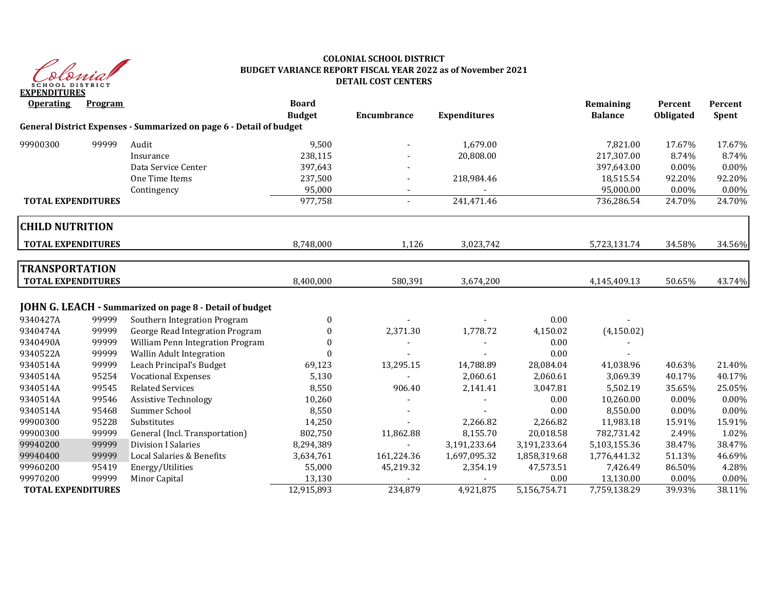

#### **COLONIAL SCHOOL DISTRICT BUDGET VARIANCE REPORT FISCAL YEAR 2022 as of November 2021 DETAIL COST CENTERS**

| <b>Operating</b>                                   | Program |                                                                     | <b>Board</b><br><b>Budget</b> | Encumbrance | <b>Expenditures</b> |              | Remaining<br><b>Balance</b> | Percent<br><b>Obligated</b> | Percent<br>Spent |
|----------------------------------------------------|---------|---------------------------------------------------------------------|-------------------------------|-------------|---------------------|--------------|-----------------------------|-----------------------------|------------------|
|                                                    |         | General District Expenses - Summarized on page 6 - Detail of budget |                               |             |                     |              |                             |                             |                  |
| 99900300                                           | 99999   | Audit                                                               | 9,500                         |             | 1,679.00            |              | 7,821.00                    | 17.67%                      | 17.67%           |
|                                                    |         | Insurance                                                           | 238,115                       |             | 20,808.00           |              | 217,307.00                  | 8.74%                       | 8.74%            |
|                                                    |         | Data Service Center                                                 | 397,643                       |             |                     |              | 397,643.00                  | 0.00%                       | 0.00%            |
|                                                    |         | One Time Items                                                      | 237,500                       |             | 218,984.46          |              | 18,515.54                   | 92.20%                      | 92.20%           |
|                                                    |         | Contingency                                                         | 95,000                        | ٠           |                     |              | 95,000.00                   | $0.00\%$                    | 0.00%            |
| <b>TOTAL EXPENDITURES</b>                          |         |                                                                     | 977,758                       | $\sim$      | 241,471.46          |              | 736,286.54                  | 24.70%                      | 24.70%           |
| <b>CHILD NUTRITION</b>                             |         |                                                                     |                               |             |                     |              |                             |                             |                  |
| <b>TOTAL EXPENDITURES</b>                          |         |                                                                     | 8,748,000                     | 1,126       | 3,023,742           |              | 5,723,131.74                | 34.58%                      | 34.56%           |
| <b>TRANSPORTATION</b><br><b>TOTAL EXPENDITURES</b> |         |                                                                     | 8,400,000                     | 580,391     | 3,674,200           |              | 4,145,409.13                | 50.65%                      | 43.74%           |
|                                                    |         | <b>JOHN G. LEACH - Summarized on page 8 - Detail of budget</b>      |                               |             |                     |              |                             |                             |                  |
| 9340427A                                           | 99999   | Southern Integration Program                                        | $\boldsymbol{0}$              |             |                     | 0.00         |                             |                             |                  |
| 9340474A                                           | 99999   | George Read Integration Program                                     | $\boldsymbol{0}$              | 2,371.30    | 1,778.72            | 4,150.02     | (4, 150.02)                 |                             |                  |
| 9340490A                                           | 99999   | William Penn Integration Program                                    | $\theta$                      |             |                     | 0.00         |                             |                             |                  |
| 9340522A                                           | 99999   | Wallin Adult Integration                                            | $\Omega$                      |             |                     | 0.00         |                             |                             |                  |
| 9340514A                                           | 99999   | Leach Principal's Budget                                            | 69,123                        | 13,295.15   | 14,788.89           | 28,084.04    | 41,038.96                   | 40.63%                      | 21.40%           |
| 9340514A                                           | 95254   | <b>Vocational Expenses</b>                                          | 5,130                         |             | 2,060.61            | 2,060.61     | 3,069.39                    | 40.17%                      | 40.17%           |
| 9340514A                                           | 99545   | <b>Related Services</b>                                             | 8,550                         | 906.40      | 2,141.41            | 3,047.81     | 5,502.19                    | 35.65%                      | 25.05%           |
| 9340514A                                           | 99546   | <b>Assistive Technology</b>                                         | 10,260                        |             |                     | 0.00         | 10,260.00                   | $0.00\%$                    | 0.00%            |
| 9340514A                                           | 95468   | Summer School                                                       | 8,550                         |             |                     | 0.00         | 8,550.00                    | $0.00\%$                    | 0.00%            |
| 99900300                                           | 95228   | Substitutes                                                         | 14,250                        |             | 2,266.82            | 2,266.82     | 11,983.18                   | 15.91%                      | 15.91%           |
| 99900300                                           | 99999   | General (Incl. Transportation)                                      | 802,750                       | 11,862.88   | 8,155.70            | 20,018.58    | 782,731.42                  | 2.49%                       | 1.02%            |
| 99940200                                           | 99999   | <b>Division I Salaries</b>                                          | 8,294,389                     |             | 3,191,233.64        | 3,191,233.64 | 5,103,155.36                | 38.47%                      | 38.47%           |
| 99940400                                           | 99999   | Local Salaries & Benefits                                           | 3,634,761                     | 161,224.36  | 1,697,095.32        | 1,858,319.68 | 1,776,441.32                | 51.13%                      | 46.69%           |
| 99960200                                           | 95419   | Energy/Utilities                                                    | 55,000                        | 45,219.32   | 2,354.19            | 47,573.51    | 7,426.49                    | 86.50%                      | 4.28%            |
| 99970200                                           | 99999   | Minor Capital                                                       | 13,130                        |             |                     | 0.00         | 13,130.00                   | 0.00%                       | 0.00%            |
| <b>TOTAL EXPENDITURES</b>                          |         |                                                                     | 12,915,893                    | 234,879     | 4,921,875           | 5,156,754.71 | 7,759,138.29                | 39.93%                      | 38.11%           |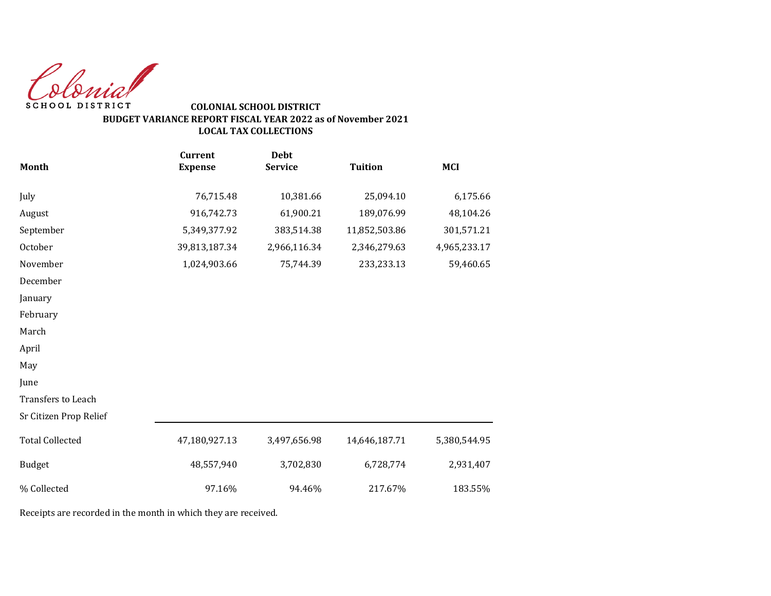Colonial SCHOOL DISTRICT

# **COLONIAL SCHOOL DISTRICT BUDGET VARIANCE REPORT FISCAL YEAR 2022 as of November 2021 LOCAL TAX COLLECTIONS**

|                        | <b>Current</b> | <b>Debt</b>    |                |              |
|------------------------|----------------|----------------|----------------|--------------|
| Month                  | <b>Expense</b> | <b>Service</b> | <b>Tuition</b> | <b>MCI</b>   |
| July                   | 76,715.48      | 10,381.66      | 25,094.10      | 6,175.66     |
| August                 | 916,742.73     | 61,900.21      | 189,076.99     | 48,104.26    |
| September              | 5,349,377.92   | 383,514.38     | 11,852,503.86  | 301,571.21   |
| October                | 39,813,187.34  | 2,966,116.34   | 2,346,279.63   | 4,965,233.17 |
| November               | 1,024,903.66   | 75,744.39      | 233, 233. 13   | 59,460.65    |
| December               |                |                |                |              |
| January                |                |                |                |              |
| February               |                |                |                |              |
| March                  |                |                |                |              |
| April                  |                |                |                |              |
| May                    |                |                |                |              |
| June                   |                |                |                |              |
| Transfers to Leach     |                |                |                |              |
| Sr Citizen Prop Relief |                |                |                |              |
| <b>Total Collected</b> | 47,180,927.13  | 3,497,656.98   | 14,646,187.71  | 5,380,544.95 |
| <b>Budget</b>          | 48,557,940     | 3,702,830      | 6,728,774      | 2,931,407    |
| % Collected            | 97.16%         | 94.46%         | 217.67%        | 183.55%      |

Receipts are recorded in the month in which they are received.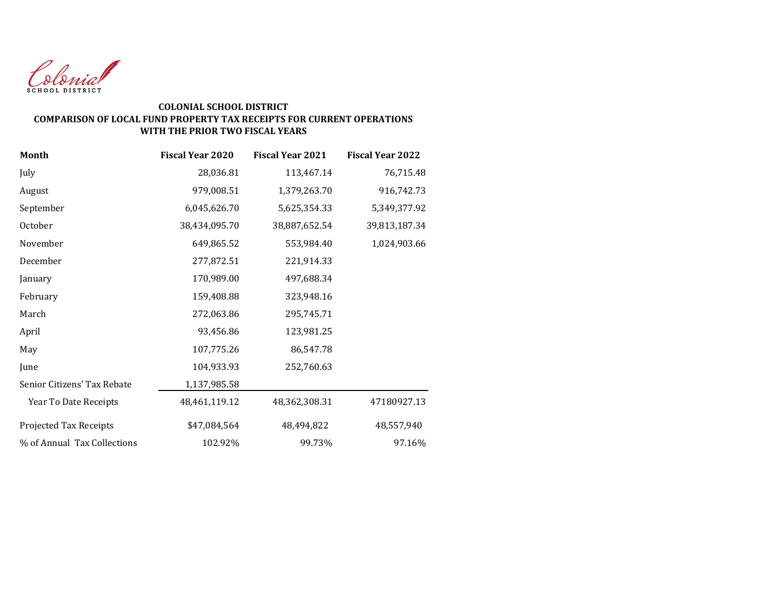

# **COLONIAL SCHOOL DISTRICT COMPARISON OF LOCAL FUND PROPERTY TAX RECEIPTS FOR CURRENT OPERATIONS WITH THE PRIOR TWO FISCAL YEARS**

| <b>Month</b>                | <b>Fiscal Year 2020</b> | <b>Fiscal Year 2021</b> | <b>Fiscal Year 2022</b> |
|-----------------------------|-------------------------|-------------------------|-------------------------|
| July                        | 28,036.81               | 113,467.14              | 76,715.48               |
| August                      | 979,008.51              | 1,379,263.70            | 916,742.73              |
| September                   | 6,045,626.70            | 5,625,354.33            | 5,349,377.92            |
| October                     | 38,434,095.70           | 38,887,652.54           | 39,813,187.34           |
| November                    | 649,865.52              | 553,984.40              | 1,024,903.66            |
| December                    | 277,872.51              | 221,914.33              |                         |
| January                     | 170,989.00              | 497,688.34              |                         |
| February                    | 159,408.88              | 323,948.16              |                         |
| March                       | 272,063.86              | 295,745.71              |                         |
| April                       | 93,456.86               | 123,981.25              |                         |
| May                         | 107,775.26              | 86,547.78               |                         |
| June                        | 104,933.93              | 252,760.63              |                         |
| Senior Citizens' Tax Rebate | 1,137,985.58            |                         |                         |
| Year To Date Receipts       | 48,461,119.12           | 48,362,308.31           | 47180927.13             |
| Projected Tax Receipts      | \$47,084,564            | 48,494,822              | 48,557,940              |
| % of Annual Tax Collections | 102.92%                 | 99.73%                  | 97.16%                  |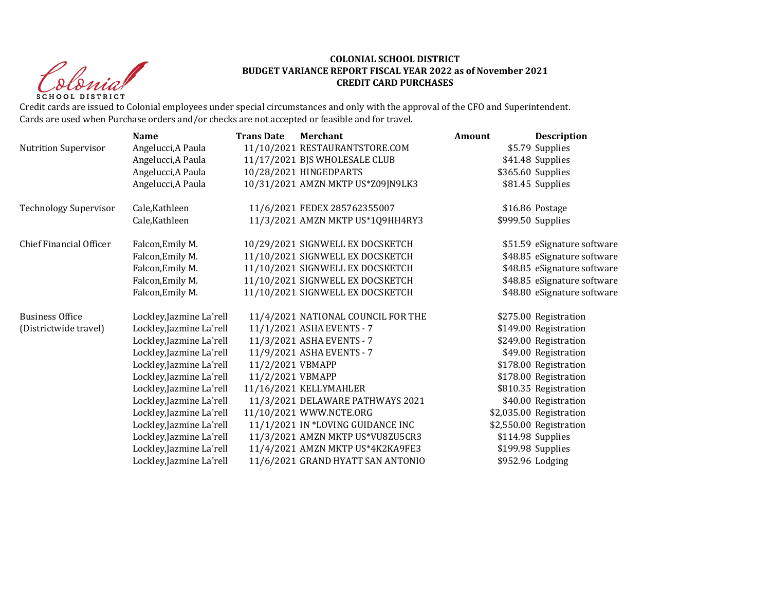Christ **SCHOOL DISTRICT** 

#### **COLONIAL SCHOOL DISTRICT BUDGET VARIANCE REPORT FISCAL YEAR 2022 as of November 2021 CREDIT CARD PURCHASES**

Credit cards are issued to Colonial employees under special circumstances and only with the approval of the CFO and Superintendent. Cards are used when Purchase orders and/or checks are not accepted or feasible and for travel.

|                              | <b>Name</b>              | <b>Trans Date</b> | <b>Merchant</b>                    | Amount | <b>Description</b>          |
|------------------------------|--------------------------|-------------------|------------------------------------|--------|-----------------------------|
| <b>Nutrition Supervisor</b>  | Angelucci, A Paula       |                   | 11/10/2021 RESTAURANTSTORE.COM     |        | \$5.79 Supplies             |
|                              | Angelucci, A Paula       |                   | 11/17/2021 BJS WHOLESALE CLUB      |        | \$41.48 Supplies            |
|                              | Angelucci, A Paula       |                   | 10/28/2021 HINGEDPARTS             |        | \$365.60 Supplies           |
|                              | Angelucci, A Paula       |                   | 10/31/2021 AMZN MKTP US*Z09JN9LK3  |        | \$81.45 Supplies            |
| <b>Technology Supervisor</b> | Cale, Kathleen           |                   | 11/6/2021 FEDEX 285762355007       |        | \$16.86 Postage             |
|                              | Cale, Kathleen           |                   | 11/3/2021 AMZN MKTP US*1Q9HH4RY3   |        | \$999.50 Supplies           |
| Chief Financial Officer      | Falcon, Emily M.         |                   | 10/29/2021 SIGNWELL EX DOCSKETCH   |        | \$51.59 eSignature software |
|                              | Falcon, Emily M.         |                   | 11/10/2021 SIGNWELL EX DOCSKETCH   |        | \$48.85 eSignature software |
|                              | Falcon, Emily M.         |                   | 11/10/2021 SIGNWELL EX DOCSKETCH   |        | \$48.85 eSignature software |
|                              | Falcon, Emily M.         |                   | 11/10/2021 SIGNWELL EX DOCSKETCH   |        | \$48.85 eSignature software |
|                              | Falcon, Emily M.         |                   | 11/10/2021 SIGNWELL EX DOCSKETCH   |        | \$48.80 eSignature software |
| <b>Business Office</b>       | Lockley, Jazmine La'rell |                   | 11/4/2021 NATIONAL COUNCIL FOR THE |        | \$275.00 Registration       |
| (Districtwide travel)        | Lockley, Jazmine La'rell |                   | 11/1/2021 ASHA EVENTS - 7          |        | \$149.00 Registration       |
|                              | Lockley, Jazmine La'rell |                   | 11/3/2021 ASHA EVENTS - 7          |        | \$249.00 Registration       |
|                              | Lockley, Jazmine La'rell |                   | 11/9/2021 ASHA EVENTS - 7          |        | \$49.00 Registration        |
|                              | Lockley, Jazmine La'rell | 11/2/2021 VBMAPP  |                                    |        | \$178.00 Registration       |
|                              | Lockley, Jazmine La'rell | 11/2/2021 VBMAPP  |                                    |        | \$178.00 Registration       |
|                              | Lockley, Jazmine La'rell |                   | 11/16/2021 KELLYMAHLER             |        | \$810.35 Registration       |
|                              | Lockley, Jazmine La'rell |                   | 11/3/2021 DELAWARE PATHWAYS 2021   |        | \$40.00 Registration        |
|                              | Lockley, Jazmine La'rell |                   | 11/10/2021 WWW.NCTE.ORG            |        | \$2,035.00 Registration     |
|                              | Lockley, Jazmine La'rell |                   | 11/1/2021 IN *LOVING GUIDANCE INC  |        | \$2,550.00 Registration     |
|                              | Lockley, Jazmine La'rell |                   | 11/3/2021 AMZN MKTP US*VU8ZU5CR3   |        | \$114.98 Supplies           |
|                              | Lockley, Jazmine La'rell |                   | 11/4/2021 AMZN MKTP US*4K2KA9FE3   |        | \$199.98 Supplies           |
|                              | Lockley, Jazmine La'rell |                   | 11/6/2021 GRAND HYATT SAN ANTONIO  |        | \$952.96 Lodging            |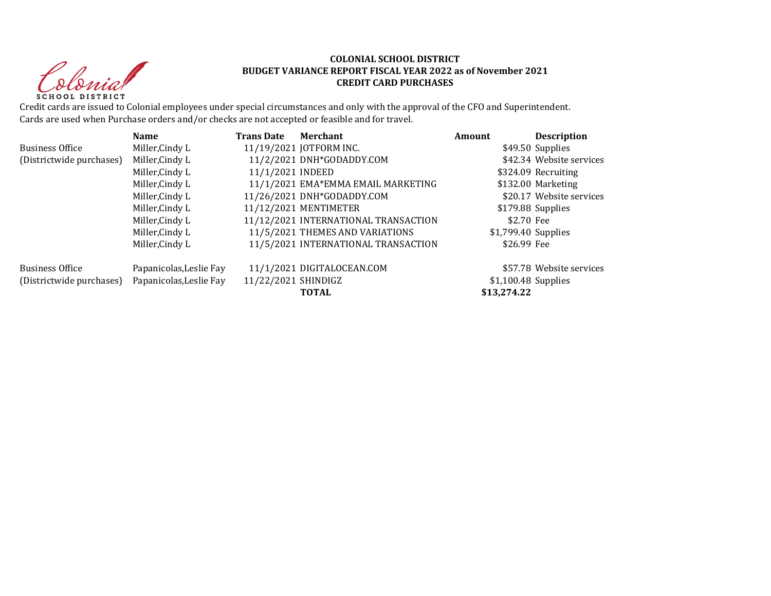Christ **SCHOOL DISTRICT** 

#### **COLONIAL SCHOOL DISTRICT BUDGET VARIANCE REPORT FISCAL YEAR 2022 as of November 2021 CREDIT CARD PURCHASES**

Credit cards are issued to Colonial employees under special circumstances and only with the approval of the CFO and Superintendent. Cards are used when Purchase orders and/or checks are not accepted or feasible and for travel.

|                          | <b>Name</b>             | <b>Trans Date</b>   | Merchant                             | Amount               | <b>Description</b>       |
|--------------------------|-------------------------|---------------------|--------------------------------------|----------------------|--------------------------|
| <b>Business Office</b>   | Miller, Cindy L         |                     | 11/19/2021 JOTFORM INC.              |                      | \$49.50 Supplies         |
| (Districtwide purchases) | Miller, Cindy L         |                     | 11/2/2021 DNH*GODADDY.COM            |                      | \$42.34 Website services |
|                          | Miller, Cindy L         | 11/1/2021 INDEED    |                                      |                      | \$324.09 Recruiting      |
|                          | Miller, Cindy L         |                     | 11/1/2021 EMA*EMMA EMAIL MARKETING   |                      | \$132.00 Marketing       |
|                          | Miller, Cindy L         |                     | 11/26/2021 DNH*GODADDY.COM           |                      | \$20.17 Website services |
|                          | Miller, Cindy L         |                     | 11/12/2021 MENTIMETER                |                      | \$179.88 Supplies        |
|                          | Miller, Cindy L         |                     | 11/12/2021 INTERNATIONAL TRANSACTION | \$2.70 Fee           |                          |
|                          | Miller, Cindy L         |                     | 11/5/2021 THEMES AND VARIATIONS      | \$1,799.40 Supplies  |                          |
|                          | Miller, Cindy L         |                     | 11/5/2021 INTERNATIONAL TRANSACTION  | \$26.99 Fee          |                          |
| <b>Business Office</b>   | Papanicolas, Leslie Fay |                     | 11/1/2021 DIGITALOCEAN.COM           |                      | \$57.78 Website services |
| (Districtwide purchases) | Papanicolas, Leslie Fay | 11/22/2021 SHINDIGZ |                                      | $$1,100.48$ Supplies |                          |
|                          |                         |                     | <b>TOTAL</b>                         | \$13,274.22          |                          |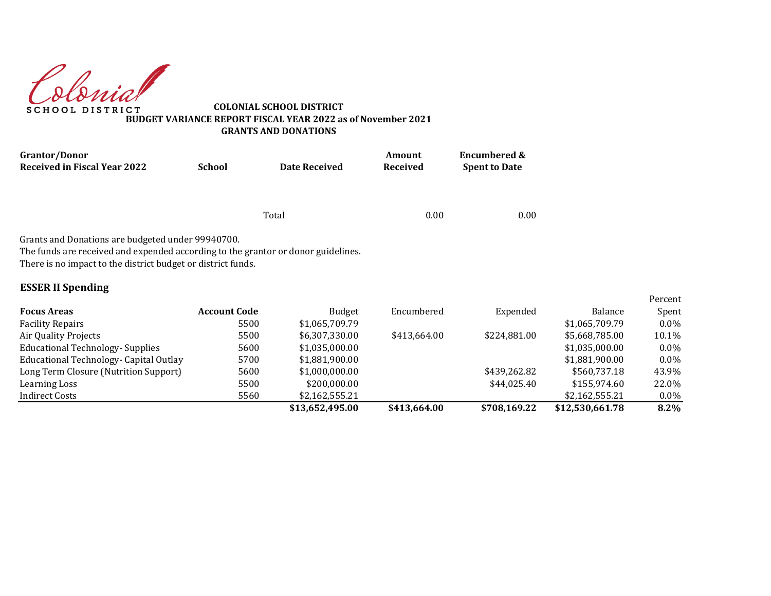donial **SCHOOL DISTRICT** 

**COLONIAL SCHOOL DISTRICT BUDGET VARIANCE REPORT FISCAL YEAR 2022 as of November 2021 GRANTS AND DONATIONS**

| <b>Grantor/Donor</b>                                                                                                                                                                                                               |                     |                      | Amount       | <b>Encumbered &amp;</b> |                |                  |
|------------------------------------------------------------------------------------------------------------------------------------------------------------------------------------------------------------------------------------|---------------------|----------------------|--------------|-------------------------|----------------|------------------|
| <b>Received in Fiscal Year 2022</b>                                                                                                                                                                                                | <b>School</b>       | <b>Date Received</b> | Received     | <b>Spent to Date</b>    |                |                  |
|                                                                                                                                                                                                                                    |                     |                      |              |                         |                |                  |
|                                                                                                                                                                                                                                    |                     | Total                | 0.00         | 0.00                    |                |                  |
| Grants and Donations are budgeted under 99940700.<br>The funds are received and expended according to the grantor or donor guidelines.<br>There is no impact to the district budget or district funds.<br><b>ESSER II Spending</b> |                     |                      |              |                         |                |                  |
| <b>Focus Areas</b>                                                                                                                                                                                                                 | <b>Account Code</b> | <b>Budget</b>        | Encumbered   | Expended                | <b>Balance</b> | Percent<br>Spent |
| <b>Facility Repairs</b>                                                                                                                                                                                                            | 5500                | \$1,065,709.79       |              |                         | \$1,065,709.79 | $0.0\%$          |
| Air Quality Projects                                                                                                                                                                                                               | 5500                | \$6,307,330.00       | \$413,664.00 | \$224,881.00            | \$5,668,785.00 | 10.1%            |
| <b>Educational Technology- Supplies</b>                                                                                                                                                                                            | 5600                | \$1,035,000.00       |              |                         | \$1,035,000.00 | $0.0\%$          |
|                                                                                                                                                                                                                                    |                     |                      |              |                         |                |                  |
| Educational Technology- Capital Outlay                                                                                                                                                                                             | 5700                | \$1,881,900.00       |              |                         | \$1,881,900.00 | $0.0\%$          |
| Long Term Closure (Nutrition Support)                                                                                                                                                                                              | 5600                | \$1,000,000.00       |              | \$439,262.82            | \$560,737.18   | 43.9%            |
| Learning Loss                                                                                                                                                                                                                      | 5500                | \$200,000.00         |              | \$44.025.40             | \$155,974.60   | 22.0%            |

Indirect Costs 5560 \$2,162,555.21 \$2,162,555.21 0.0%

**\$13,652,495.00 \$413,664.00 \$708,169.22 \$12,530,661.78 8.2%**

Percent Spent